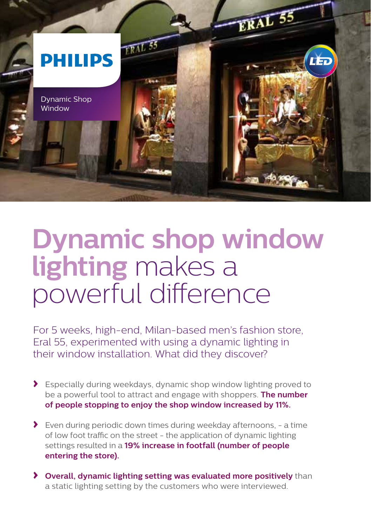

## **Dynamic shop window lighting** makes a powerful difference

For 5 weeks, high-end, Milan-based men's fashion store, Eral 55, experimented with using a dynamic lighting in their window installation. What did they discover?

- **›** Especially during weekdays, dynamic shop window lighting proved to be a powerful tool to attract and engage with shoppers. **The number of people stopping to enjoy the shop window increased by 11%.**
- **›** Even during periodic down times during weekday afternoons, a time of low foot traffic on the street - the application of dynamic lighting settings resulted in a **19% increase in footfall (number of people entering the store).**
- **› Overall, dynamic lighting setting was evaluated more positively** than a static lighting setting by the customers who were interviewed.